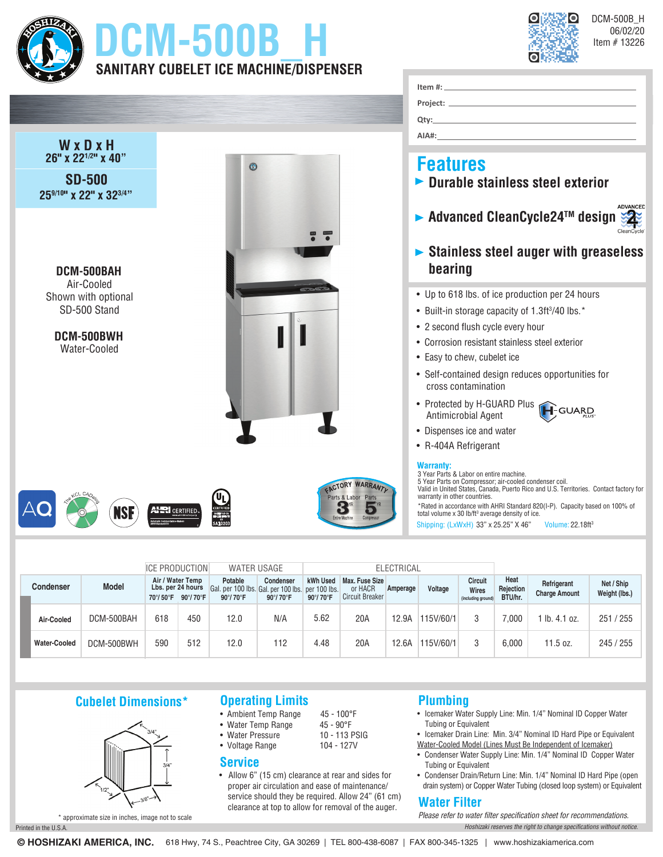

# **DCM-500B\_H SANITARY CUBELET ICE MACHINE/DISPENSER**



DCM-500B\_H 06/02/20 Item # 13226



|  |                     |              | <b>ICE PRODUCTION</b> |                                        | <b>WATER USAGE</b>                                                      |                       | <b>ELECTRICAL</b>                 |                                              |          |           |                                               |                              |                                     |                             |
|--|---------------------|--------------|-----------------------|----------------------------------------|-------------------------------------------------------------------------|-----------------------|-----------------------------------|----------------------------------------------|----------|-----------|-----------------------------------------------|------------------------------|-------------------------------------|-----------------------------|
|  | <b>Condenser</b>    | <b>Model</b> | Air / Water Temp      | Lbs. per 24 hours<br>70°/50°F 90°/70°F | Potable<br>Gal. per 100 lbs. Gal. per 100 lbs. per 100 lbs.<br>90°/70°F | Condenser<br>90°/70°F | kWh Used<br>$90^\circ/70^\circ$ F | Max. Fuse Size<br>or HACR<br>Circuit Breaker | Amperage | Voltage   | Circuit<br><b>Wires</b><br>(including ground) | Heat<br>Rejection<br>BTU/hr. | Refrigerant<br><b>Charge Amount</b> | Net / Ship<br>Weight (lbs.) |
|  | Air-Cooled          | DCM-500BAH   | 618                   | 450                                    | 12.0                                                                    | N/A                   | 5.62                              | 20A                                          | 12.9A    | 115V/60/1 |                                               | 000.                         | 1 lb. 4.1 oz.                       | 251 / 255                   |
|  | <b>Water-Cooled</b> | DCM-500BWH   | 590                   | 512                                    | 12.0                                                                    | 112                   | 4.48                              | 20A                                          | 12.6A    | 15V/60/1  |                                               | 6.000                        | 11.5 oz.                            | 245 / 255                   |

## **Cubelet Dimensions\***



# **Operating Limits**

- Ambient Temp Range 45 100°F<br>• Water Temp Range 45 90°F
- Water Temp Range 45 90°F • Water Pressure
- Voltage Range 104 127V
- 

#### **Service**

• Allow 6" (15 cm) clearance at rear and sides for proper air circulation and ease of maintenance/ service should they be required. Allow 24" (61 cm) clearance at top to allow for removal of the auger.

## **Plumbing**

- Icemaker Water Supply Line: Min. 1/4" Nominal ID Copper Water Tubing or Equivalent
- Icemaker Drain Line: Min. 3/4" Nominal ID Hard Pipe or Equivalent Water-Cooled Model (Lines Must Be Independent of Icemaker)
- Condenser Water Supply Line: Min. 1/4" Nominal ID Copper Water Tubing or Equivalent
- Condenser Drain/Return Line: Min. 1/4" Nominal ID Hard Pipe (open drain system) or Copper Water Tubing (closed loop system) or Equivalent

## **Water Filter**

Printed in the U.S.A. *Hoshizaki reserves the right to change specifications without notice. Please refer to water filter specification sheet for recommendations.*